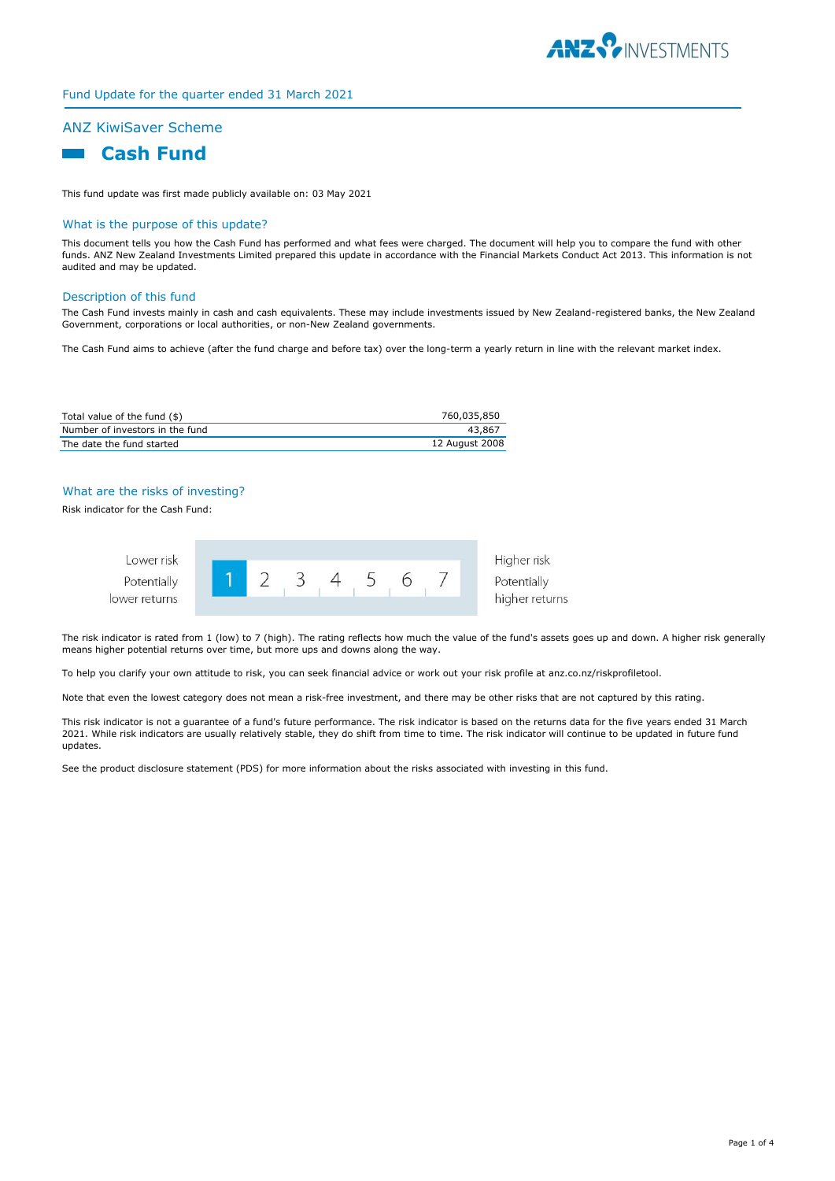

#### Fund Update for the quarter ended 31 March 2021

## ANZ KiwiSaver Scheme

# **Cash Fund**

This fund update was first made publicly available on: 03 May 2021

#### What is the purpose of this update?

This document tells you how the Cash Fund has performed and what fees were charged. The document will help you to compare the fund with other funds. ANZ New Zealand Investments Limited prepared this update in accordance with the Financial Markets Conduct Act 2013. This information is not audited and may be updated.

#### Description of this fund

The Cash Fund invests mainly in cash and cash equivalents. These may include investments issued by New Zealand-registered banks, the New Zealand Government, corporations or local authorities, or non-New Zealand governments.

The Cash Fund aims to achieve (after the fund charge and before tax) over the long-term a yearly return in line with the relevant market index.

| Total value of the fund (\$)    | 760,035,850    |
|---------------------------------|----------------|
| Number of investors in the fund | 43.867         |
| The date the fund started       | 12 August 2008 |

#### What are the risks of investing?

Risk indicator for the Cash Fund:



Higher risk higher returns

The risk indicator is rated from 1 (low) to 7 (high). The rating reflects how much the value of the fund's assets goes up and down. A higher risk generally means higher potential returns over time, but more ups and downs along the way.

To help you clarify your own attitude to risk, you can seek financial advice or work out your risk profile at anz.co.nz/riskprofiletool.

Note that even the lowest category does not mean a risk-free investment, and there may be other risks that are not captured by this rating.

This risk indicator is not a guarantee of a fund's future performance. The risk indicator is based on the returns data for the five years ended 31 March 2021. While risk indicators are usually relatively stable, they do shift from time to time. The risk indicator will continue to be updated in future fund updates.

See the product disclosure statement (PDS) for more information about the risks associated with investing in this fund.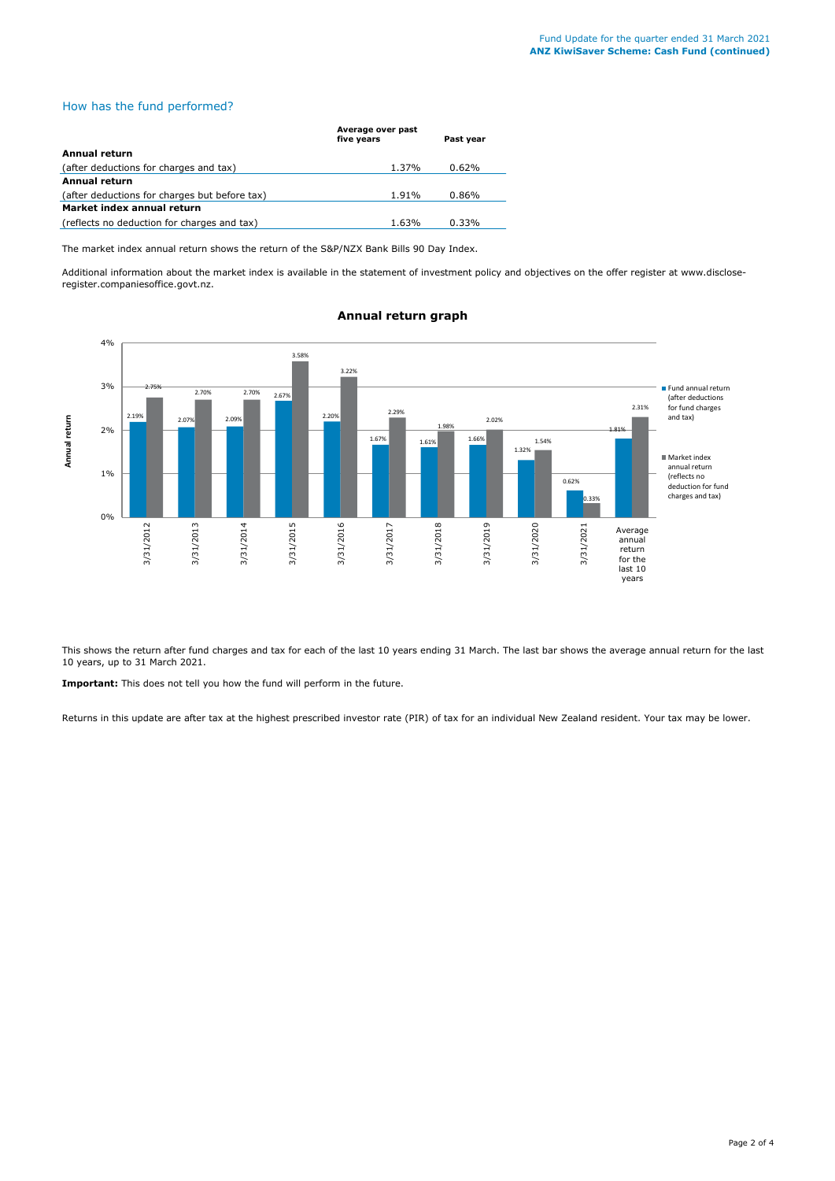### How has the fund performed?

|                                               | Average over past<br>five years | Past year |
|-----------------------------------------------|---------------------------------|-----------|
| Annual return                                 |                                 |           |
| (after deductions for charges and tax)        | 1.37%                           | 0.62%     |
| Annual return                                 |                                 |           |
| (after deductions for charges but before tax) | 1.91%                           | 0.86%     |
| Market index annual return                    |                                 |           |
| (reflects no deduction for charges and tax)   | 1.63%                           | $0.33\%$  |

The market index annual return shows the return of the S&P/NZX Bank Bills 90 Day Index.

Additional information about the market index is available in the statement of investment policy and objectives on the offer register at www.discloseregister.companiesoffice.govt.nz.



## **Annual return graph**

This shows the return after fund charges and tax for each of the last 10 years ending 31 March. The last bar shows the average annual return for the last 10 years, up to 31 March 2021.

**Important:** This does not tell you how the fund will perform in the future.

Returns in this update are after tax at the highest prescribed investor rate (PIR) of tax for an individual New Zealand resident. Your tax may be lower.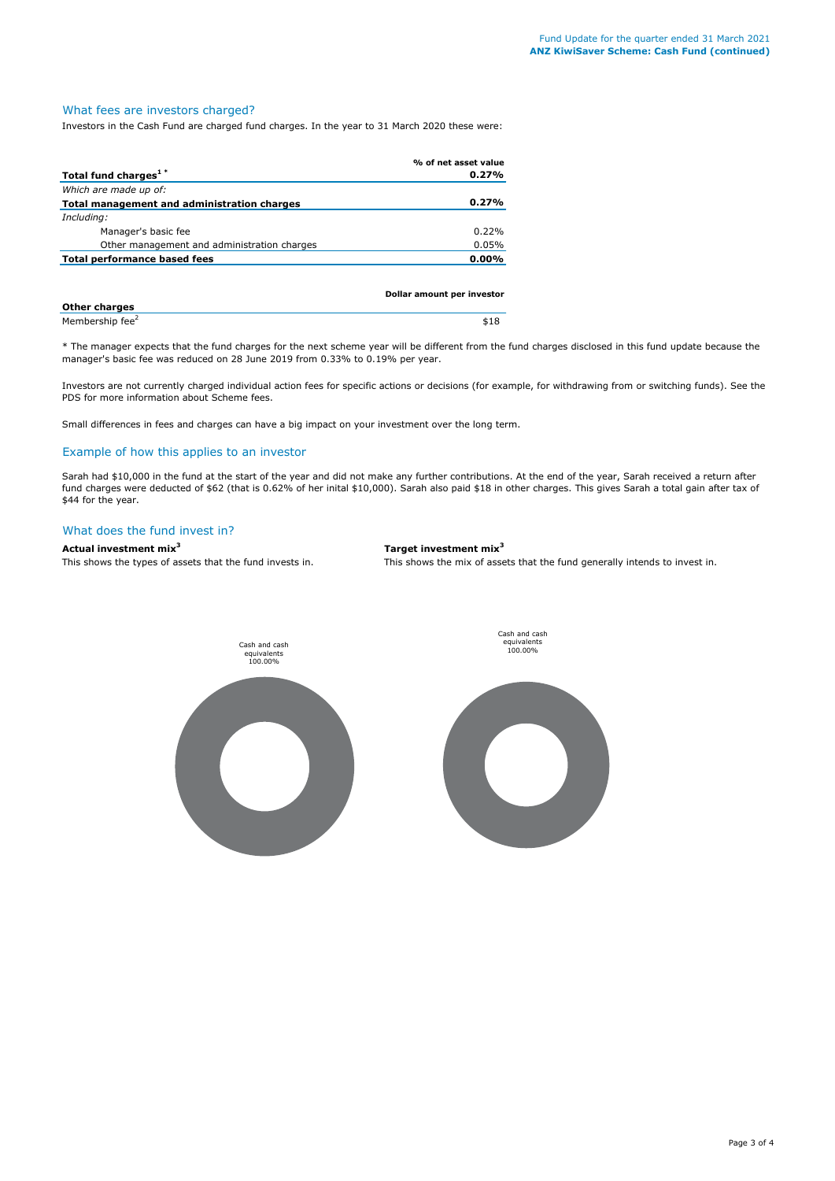## What fees are investors charged?

Investors in the Cash Fund are charged fund charges. In the year to 31 March 2020 these were:

|                                             | % of net asset value       |
|---------------------------------------------|----------------------------|
| Total fund charges <sup>1*</sup>            | 0.27%                      |
| Which are made up of:                       |                            |
| Total management and administration charges | 0.27%                      |
| Including:                                  |                            |
| Manager's basic fee                         | 0.22%                      |
| Other management and administration charges | 0.05%                      |
| Total performance based fees                | 0.00%                      |
|                                             |                            |
|                                             |                            |
|                                             | Dollar amount per investor |

| <b>Other charges</b>        |  |  | . |
|-----------------------------|--|--|---|
| Membership fee <sup>2</sup> |  |  |   |

\* The manager expects that the fund charges for the next scheme year will be different from the fund charges disclosed in this fund update because the manager's basic fee was reduced on 28 June 2019 from 0.33% to 0.19% per year.

Investors are not currently charged individual action fees for specific actions or decisions (for example, for withdrawing from or switching funds). See the PDS for more information about Scheme fees.

Small differences in fees and charges can have a big impact on your investment over the long term.

## Example of how this applies to an investor

Sarah had \$10,000 in the fund at the start of the year and did not make any further contributions. At the end of the year, Sarah received a return after fund charges were deducted of \$62 (that is 0.62% of her inital \$10,000). Sarah also paid \$18 in other charges. This gives Sarah a total gain after tax of \$44 for the year.

#### What does the fund invest in?

## **Actual investment mix<sup>3</sup> Target investment mix<sup>3</sup>**

This shows the types of assets that the fund invests in. This shows the mix of assets that the fund generally intends to invest in.